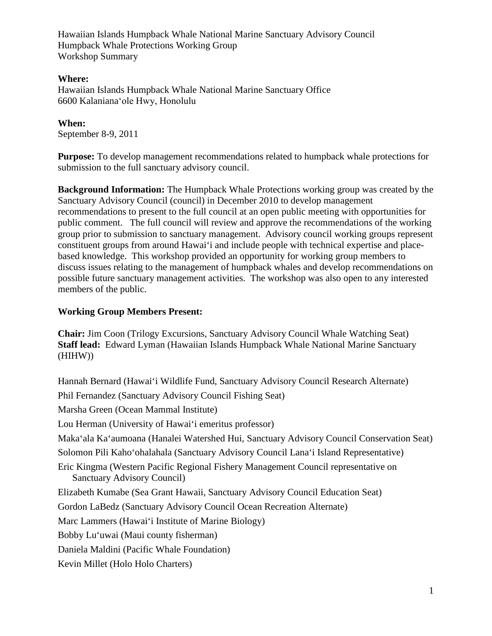#### **Where:**

Hawaiian Islands Humpback Whale National Marine Sanctuary Office 6600 Kalanianaʻole Hwy, Honolulu

**When:**  September 8-9, 2011

**Purpose:** To develop management recommendations related to humpback whale protections for submission to the full sanctuary advisory council.

**Background Information:** The Humpback Whale Protections working group was created by the Sanctuary Advisory Council (council) in December 2010 to develop management recommendations to present to the full council at an open public meeting with opportunities for public comment. The full council will review and approve the recommendations of the working group prior to submission to sanctuary management. Advisory council working groups represent constituent groups from around Hawai'i and include people with technical expertise and placebased knowledge. This workshop provided an opportunity for working group members to discuss issues relating to the management of humpback whales and develop recommendations on possible future sanctuary management activities. The workshop was also open to any interested members of the public.

#### **Working Group Members Present:**

**Chair:** Jim Coon (Trilogy Excursions, Sanctuary Advisory Council Whale Watching Seat) **Staff lead:** Edward Lyman (Hawaiian Islands Humpback Whale National Marine Sanctuary (HIHW))

Hannah Bernard (Hawai'i Wildlife Fund, Sanctuary Advisory Council Research Alternate) Phil Fernandez (Sanctuary Advisory Council Fishing Seat) Marsha Green (Ocean Mammal Institute) Lou Herman (University of Hawai'i emeritus professor) Maka'ala Ka'aumoana (Hanalei Watershed Hui, Sanctuary Advisory Council Conservation Seat) Solomon Pili Kaho'ohalahala (Sanctuary Advisory Council Lana'i Island Representative) Eric Kingma (Western Pacific Regional Fishery Management Council representative on Sanctuary Advisory Council) Elizabeth Kumabe (Sea Grant Hawaii, Sanctuary Advisory Council Education Seat) Gordon LaBedz (Sanctuary Advisory Council Ocean Recreation Alternate) Marc Lammers (Hawai'i Institute of Marine Biology) Bobby Lu'uwai (Maui county fisherman) Daniela Maldini (Pacific Whale Foundation) Kevin Millet (Holo Holo Charters)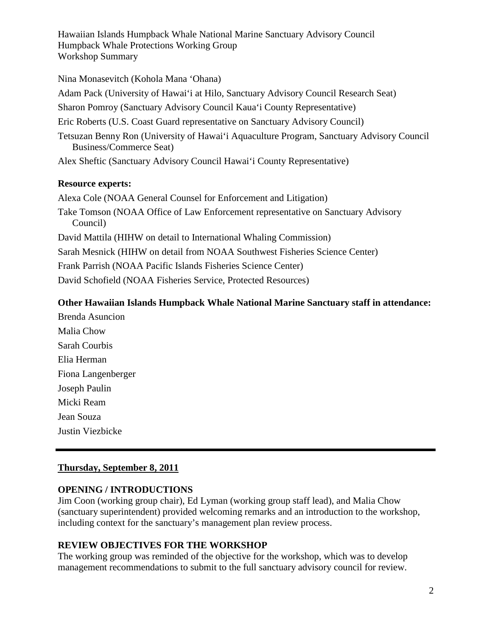Nina Monasevitch (Kohola Mana 'Ohana) Adam Pack (University of Hawai'i at Hilo, Sanctuary Advisory Council Research Seat) Sharon Pomroy (Sanctuary Advisory Council Kaua'i County Representative) Eric Roberts (U.S. Coast Guard representative on Sanctuary Advisory Council) Tetsuzan Benny Ron (University of Hawai'i Aquaculture Program, Sanctuary Advisory Council Business/Commerce Seat) Alex Sheftic (Sanctuary Advisory Council Hawai'i County Representative)

#### **Resource experts:**

Alexa Cole (NOAA General Counsel for Enforcement and Litigation) Take Tomson (NOAA Office of Law Enforcement representative on Sanctuary Advisory Council) David Mattila (HIHW on detail to International Whaling Commission) Sarah Mesnick (HIHW on detail from NOAA Southwest Fisheries Science Center) Frank Parrish (NOAA Pacific Islands Fisheries Science Center) David Schofield (NOAA Fisheries Service, Protected Resources)

# **Other Hawaiian Islands Humpback Whale National Marine Sanctuary staff in attendance:**

Brenda Asuncion Malia Chow Sarah Courbis Elia Herman Fiona Langenberger Joseph Paulin Micki Ream Jean Souza Justin Viezbicke

# **Thursday, September 8, 2011**

# **OPENING / INTRODUCTIONS**

Jim Coon (working group chair), Ed Lyman (working group staff lead), and Malia Chow (sanctuary superintendent) provided welcoming remarks and an introduction to the workshop, including context for the sanctuary's management plan review process.

# **REVIEW OBJECTIVES FOR THE WORKSHOP**

The working group was reminded of the objective for the workshop, which was to develop management recommendations to submit to the full sanctuary advisory council for review.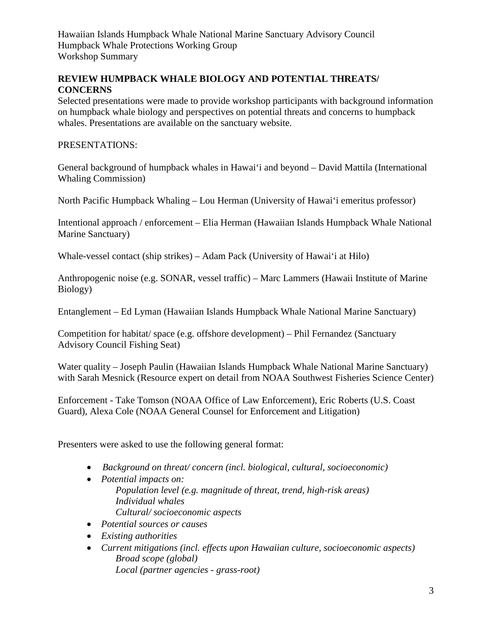# **REVIEW HUMPBACK WHALE BIOLOGY AND POTENTIAL THREATS/ CONCERNS**

Selected presentations were made to provide workshop participants with background information on humpback whale biology and perspectives on potential threats and concerns to humpback whales. Presentations are available on the sanctuary website.

# PRESENTATIONS:

General background of humpback whales in Hawai'i and beyond – David Mattila (International Whaling Commission)

North Pacific Humpback Whaling – Lou Herman (University of Hawai'i emeritus professor)

Intentional approach / enforcement – Elia Herman (Hawaiian Islands Humpback Whale National Marine Sanctuary)

Whale-vessel contact (ship strikes) – Adam Pack (University of Hawai'i at Hilo)

Anthropogenic noise (e.g. SONAR, vessel traffic) – Marc Lammers (Hawaii Institute of Marine Biology)

Entanglement – Ed Lyman (Hawaiian Islands Humpback Whale National Marine Sanctuary)

Competition for habitat/ space (e.g. offshore development) – Phil Fernandez (Sanctuary Advisory Council Fishing Seat)

Water quality – Joseph Paulin (Hawaiian Islands Humpback Whale National Marine Sanctuary) with Sarah Mesnick (Resource expert on detail from NOAA Southwest Fisheries Science Center)

Enforcement - Take Tomson (NOAA Office of Law Enforcement), Eric Roberts (U.S. Coast Guard), Alexa Cole (NOAA General Counsel for Enforcement and Litigation)

Presenters were asked to use the following general format:

- *Background on threat/ concern (incl. biological, cultural, socioeconomic)*
- *Potential impacts on: Population level (e.g. magnitude of threat, trend, high-risk areas) Individual whales Cultural/ socioeconomic aspects*
- *Potential sources or causes*
- *Existing authorities*
- *Current mitigations (incl. effects upon Hawaiian culture, socioeconomic aspects) Broad scope (global) Local (partner agencies - grass-root)*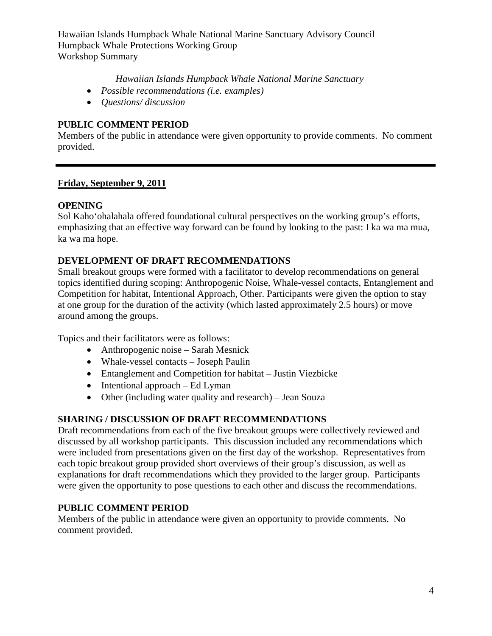*Hawaiian Islands Humpback Whale National Marine Sanctuary*

- *Possible recommendations (i.e. examples)*
- *Questions/ discussion*

# **PUBLIC COMMENT PERIOD**

Members of the public in attendance were given opportunity to provide comments. No comment provided.

# **Friday, September 9, 2011**

#### **OPENING**

Sol Kaho'ohalahala offered foundational cultural perspectives on the working group's efforts, emphasizing that an effective way forward can be found by looking to the past: I ka wa ma mua, ka wa ma hope.

# **DEVELOPMENT OF DRAFT RECOMMENDATIONS**

Small breakout groups were formed with a facilitator to develop recommendations on general topics identified during scoping: Anthropogenic Noise, Whale-vessel contacts, Entanglement and Competition for habitat, Intentional Approach, Other. Participants were given the option to stay at one group for the duration of the activity (which lasted approximately 2.5 hours) or move around among the groups.

Topics and their facilitators were as follows:

- Anthropogenic noise Sarah Mesnick
- Whale-vessel contacts Joseph Paulin
- Entanglement and Competition for habitat Justin Viezbicke
- Intentional approach Ed Lyman
- Other (including water quality and research) Jean Souza

#### **SHARING / DISCUSSION OF DRAFT RECOMMENDATIONS**

Draft recommendations from each of the five breakout groups were collectively reviewed and discussed by all workshop participants. This discussion included any recommendations which were included from presentations given on the first day of the workshop. Representatives from each topic breakout group provided short overviews of their group's discussion, as well as explanations for draft recommendations which they provided to the larger group. Participants were given the opportunity to pose questions to each other and discuss the recommendations.

#### **PUBLIC COMMENT PERIOD**

Members of the public in attendance were given an opportunity to provide comments. No comment provided.